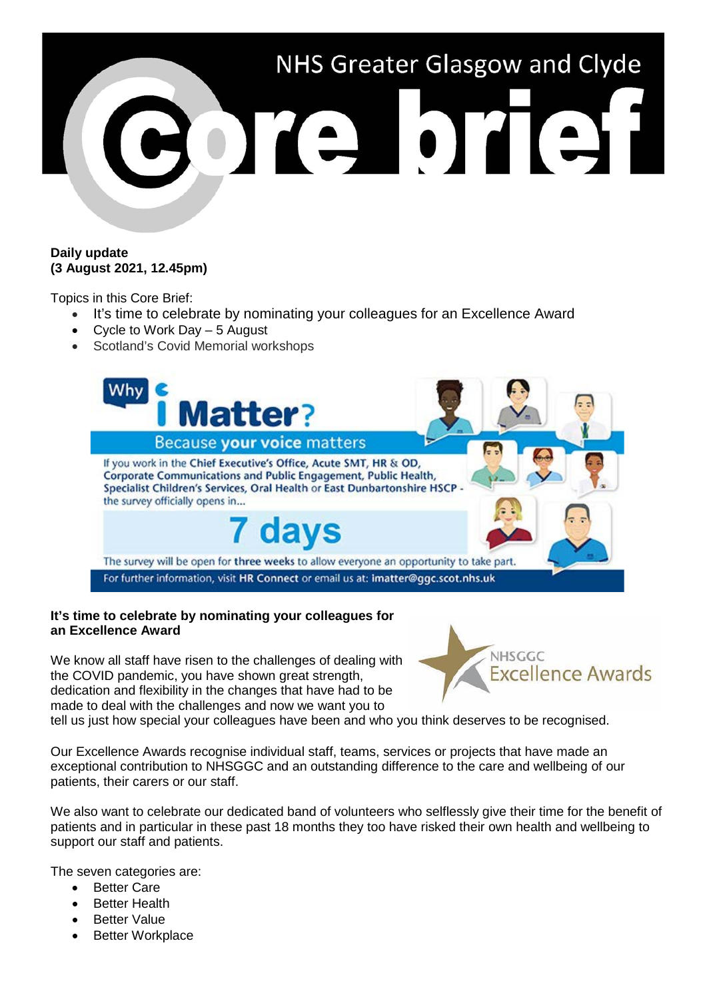

## **Daily update (3 August 2021, 12.45pm)**

Topics in this Core Brief:

- It's time to celebrate by nominating your colleagues for an Excellence Award
- Cycle to Work Day 5 August
- Scotland's Covid Memorial workshops



### **It's time to celebrate by nominating your colleagues for an Excellence Award**

We know all staff have risen to the challenges of dealing with the COVID pandemic, you have shown great strength, dedication and flexibility in the changes that have had to be made to deal with the challenges and now we want you to



tell us just how special your colleagues have been and who you think deserves to be recognised.

Our Excellence Awards recognise individual staff, teams, services or projects that have made an exceptional contribution to NHSGGC and an outstanding difference to the care and wellbeing of our patients, their carers or our staff.

We also want to celebrate our dedicated band of volunteers who selflessly give their time for the benefit of patients and in particular in these past 18 months they too have risked their own health and wellbeing to support our staff and patients.

The seven categories are:

- Better Care
- Better Health
- Better Value
- **Better Workplace**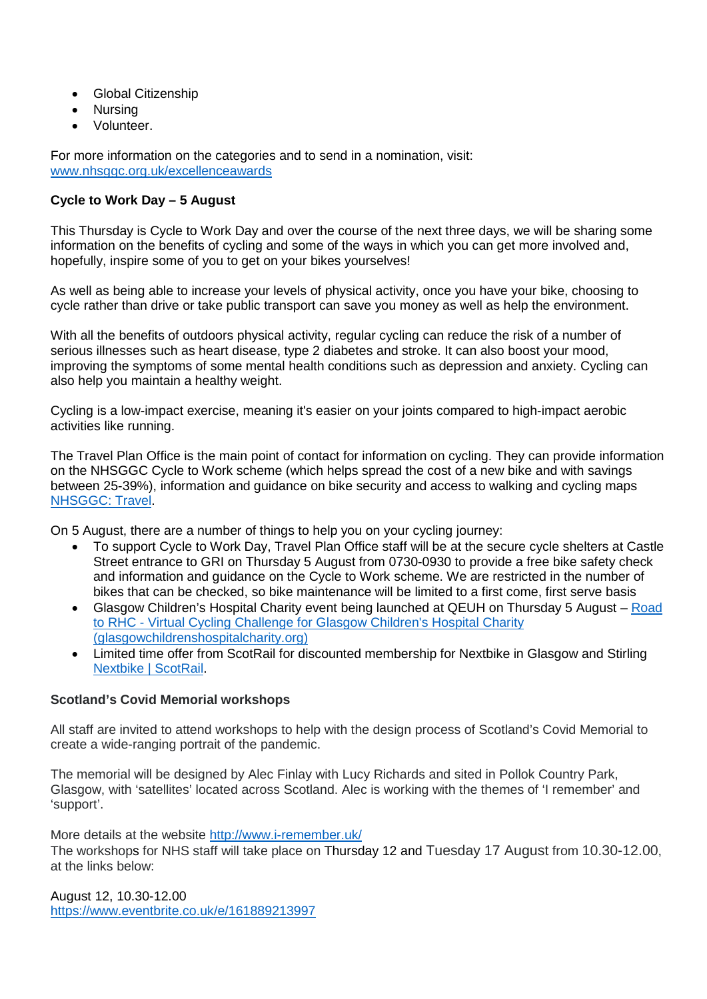- Global Citizenship
- Nursing
- Volunteer.

For more information on the categories and to send in a nomination, visit: [www.nhsggc.org.uk/excellenceawards](http://www.nhsggc.org.uk/excellenceawards)

# **Cycle to Work Day – 5 August**

This Thursday is Cycle to Work Day and over the course of the next three days, we will be sharing some information on the benefits of cycling and some of the ways in which you can get more involved and, hopefully, inspire some of you to get on your bikes yourselves!

As well as being able to increase your levels of physical activity, once you have your bike, choosing to cycle rather than drive or take public transport can save you money as well as help the environment.

With all the benefits of outdoors physical activity, regular cycling can reduce the risk of a number of serious illnesses such as heart disease, type 2 diabetes and stroke. It can also boost your mood, improving the symptoms of some mental health conditions such as depression and anxiety. Cycling can also help you maintain a healthy weight.

Cycling is a low-impact exercise, meaning it's easier on your joints compared to high-impact aerobic activities like running.

The Travel Plan Office is the main point of contact for information on cycling. They can provide information on the NHSGGC Cycle to Work scheme (which helps spread the cost of a new bike and with savings between 25-39%), information and guidance on bike security and access to walking and cycling maps [NHSGGC: Travel.](https://www.nhsggc.org.uk/working-with-us/staff-communications/staff-benefits-services-travel/travel/)

On 5 August, there are a number of things to help you on your cycling journey:

- To support Cycle to Work Day, Travel Plan Office staff will be at the secure cycle shelters at Castle Street entrance to GRI on Thursday 5 August from 0730-0930 to provide a free bike safety check and information and guidance on the Cycle to Work scheme. We are restricted in the number of bikes that can be checked, so bike maintenance will be limited to a first come, first serve basis
- Glasgow Children's Hospital Charity event being launched at QEUH on Thursday 5 August Road to RHC - [Virtual Cycling Challenge for Glasgow Children's Hospital Charity](https://www.glasgowchildrenshospitalcharity.org/support-us/events/311-road-to-rhc)  [\(glasgowchildrenshospitalcharity.org\)](https://www.glasgowchildrenshospitalcharity.org/support-us/events/311-road-to-rhc)
- Limited time offer from ScotRail for discounted membership for Nextbike in Glasgow and Stirling [Nextbike | ScotRail.](https://www.scotrail.co.uk/offers/discounts/nextbike)

# **Scotland's Covid Memorial workshops**

All staff are invited to attend workshops to help with the design process of Scotland's Covid Memorial to create a wide-ranging portrait of the pandemic.

The memorial will be designed by Alec Finlay with Lucy Richards and sited in Pollok Country Park, Glasgow, with 'satellites' located across Scotland. Alec is working with the themes of 'I remember' and 'support'.

More details at the website<http://www.i-remember.uk/>

The workshops for NHS staff will take place on Thursday 12 and Tuesday 17 August from 10.30-12.00, at the links below:

August 12, 10.30-12.00 <https://www.eventbrite.co.uk/e/161889213997>